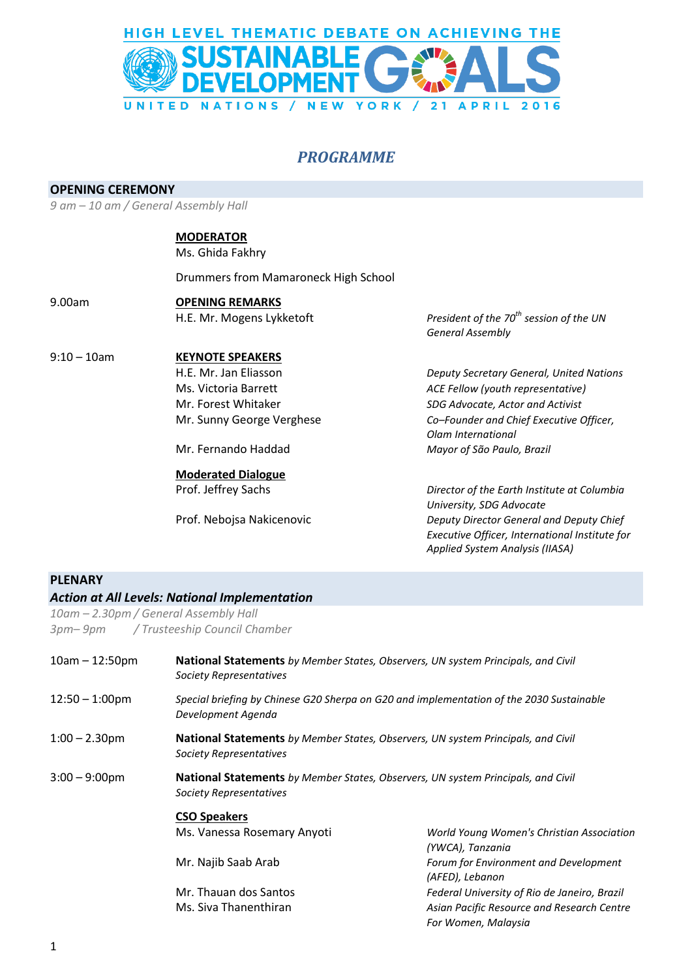

### *PROGRAMME*

#### **OPENING CEREMONY**

*9 am – 10 am / General Assembly Hall*

#### **MODERATOR**

Ms. Ghida Fakhry

Drummers from Mamaroneck High School

- 9.00am **OPENING REMARKS**
- 

#### 9:10 – 10am **KEYNOTE SPEAKERS**

# **Moderated Dialogue**

H.E. Mr. Mogens Lykketoft *President of the 70th session of the UN General Assembly*

H.E. Mr. Jan Eliasson *Deputy Secretary General, United Nations* Ms. Victoria Barrett *ACE Fellow (youth representative)* Mr. Forest Whitaker *SDG Advocate, Actor and Activist* Mr. Sunny George Verghese *Co–Founder and Chief Executive Officer, Olam International* Mr. Fernando Haddad *Mayor of São Paulo, Brazil*

Prof. Jeffrey Sachs *Director of the Earth Institute at Columbia University, SDG Advocate* Prof. Nebojsa Nakicenovic *Deputy Director General and Deputy Chief Executive Officer, International Institute for Applied System Analysis (IIASA)*

#### **PLENARY**

## *Action at All Levels: National Implementation*

*10am – 2.30pm / General Assembly Hall 3pm– 9pm / Trusteeship Council Chamber*

| $10am - 12:50pm$  | <b>National Statements</b> by Member States, Observers, UN system Principals, and Civil<br><b>Society Representatives</b> |                                                                                                                   |  |
|-------------------|---------------------------------------------------------------------------------------------------------------------------|-------------------------------------------------------------------------------------------------------------------|--|
| $12:50 - 1:00$ pm | Special briefing by Chinese G20 Sherpa on G20 and implementation of the 2030 Sustainable<br>Development Agenda            |                                                                                                                   |  |
| $1:00 - 2.30$ pm  | <b>National Statements</b> by Member States, Observers, UN system Principals, and Civil<br>Society Representatives        |                                                                                                                   |  |
| $3:00 - 9:00$ pm  | <b>National Statements</b> by Member States, Observers, UN system Principals, and Civil<br>Society Representatives        |                                                                                                                   |  |
|                   | <b>CSO Speakers</b><br>Ms. Vanessa Rosemary Anyoti                                                                        | World Young Women's Christian Association<br>(YWCA), Tanzania                                                     |  |
|                   | Mr. Najib Saab Arab                                                                                                       | Forum for Environment and Development<br>(AFED), Lebanon                                                          |  |
|                   | Mr. Thauan dos Santos<br>Ms. Siva Thanenthiran                                                                            | Federal University of Rio de Janeiro, Brazil<br>Asian Pacific Resource and Research Centre<br>For Women, Malaysia |  |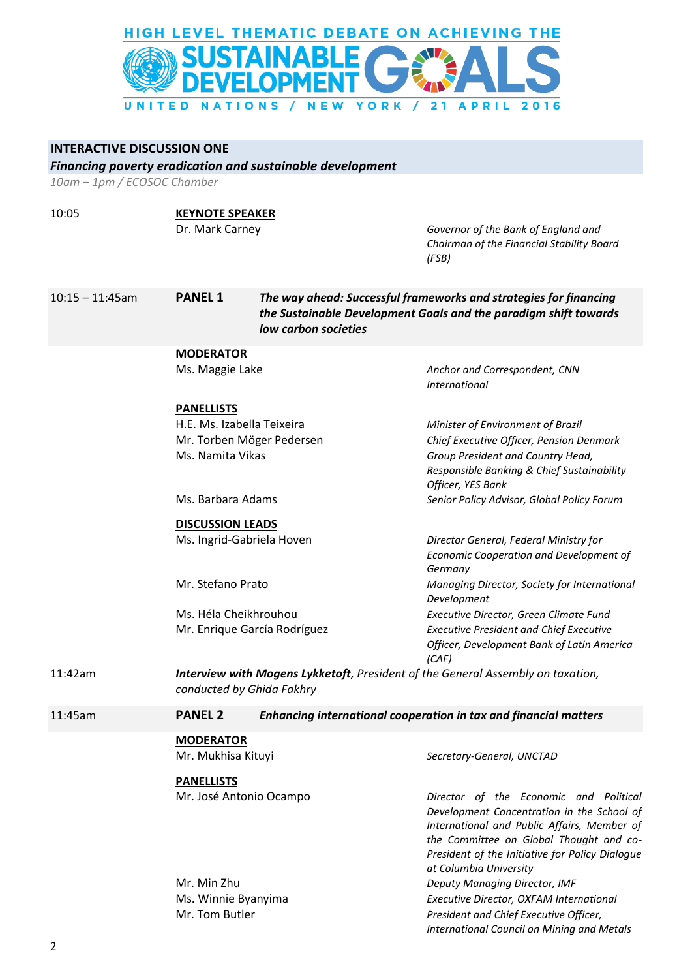

#### **INTERACTIVE DISCUSSION ONE**

*Financing poverty eradication and sustainable development*

*10am – 1pm / ECOSOC Chamber*

#### 10:05 **KEYNOTE SPEAKER**

Dr. Mark Carney *Governor of the Bank of England and Chairman of the Financial Stability Board (FSB)*

10:15 – 11:45am **PANEL 1** *The way ahead: Successful frameworks and strategies for financing the Sustainable Development Goals and the paradigm shift towards low carbon societies*

### **MODERATOR**

Ms. Maggie Lake **Anchor and Correspondent, CNN** 

#### **PANELLISTS**

|         | H.E. Ms. Izabella Teixeira                                                              | Minister of Environment of Brazil                                                                     |
|---------|-----------------------------------------------------------------------------------------|-------------------------------------------------------------------------------------------------------|
|         | Mr. Torben Möger Pedersen                                                               | Chief Executive Officer, Pension Denmark                                                              |
|         | Ms. Namita Vikas                                                                        | Group President and Country Head,<br>Responsible Banking & Chief Sustainability<br>Officer, YES Bank  |
|         | Ms. Barbara Adams                                                                       | Senior Policy Advisor, Global Policy Forum                                                            |
|         | <b>DISCUSSION LEADS</b>                                                                 |                                                                                                       |
|         | Ms. Ingrid-Gabriela Hoven                                                               | Director General, Federal Ministry for                                                                |
|         |                                                                                         | Economic Cooperation and Development of<br>Germany                                                    |
|         | Mr. Stefano Prato                                                                       | Managing Director, Society for International<br>Development                                           |
|         | Ms. Héla Cheikhrouhou                                                                   | Executive Director, Green Climate Fund                                                                |
|         | Mr. Enrique García Rodríguez                                                            | <b>Executive President and Chief Executive</b><br>Officer, Development Bank of Latin America<br>(CAF) |
| 11:42am | <b>Interview with Mogens Lykketoft</b> , President of the General Assembly on taxation, |                                                                                                       |

*International*

11:45am **PANEL 2** *Enhancing international cooperation in tax and financial matters*

#### **MODERATOR**

*conducted by Ghida Fakhry*

| Mr. Mukhisa Kituyi      | Secretary-General, UNCTAD                                                                                                                                                                                                                                   |
|-------------------------|-------------------------------------------------------------------------------------------------------------------------------------------------------------------------------------------------------------------------------------------------------------|
| <b>PANELLISTS</b>       |                                                                                                                                                                                                                                                             |
| Mr. José Antonio Ocampo | Director of the Economic and Political<br>Development Concentration in the School of<br>International and Public Affairs, Member of<br>the Committee on Global Thought and co-<br>President of the Initiative for Policy Dialogue<br>at Columbia University |
| Mr. Min Zhu             | Deputy Managing Director, IMF                                                                                                                                                                                                                               |
| Ms. Winnie Byanyima     | Executive Director, OXFAM International                                                                                                                                                                                                                     |
| Mr. Tom Butler          | President and Chief Executive Officer,                                                                                                                                                                                                                      |
|                         | International Council on Mining and Metals                                                                                                                                                                                                                  |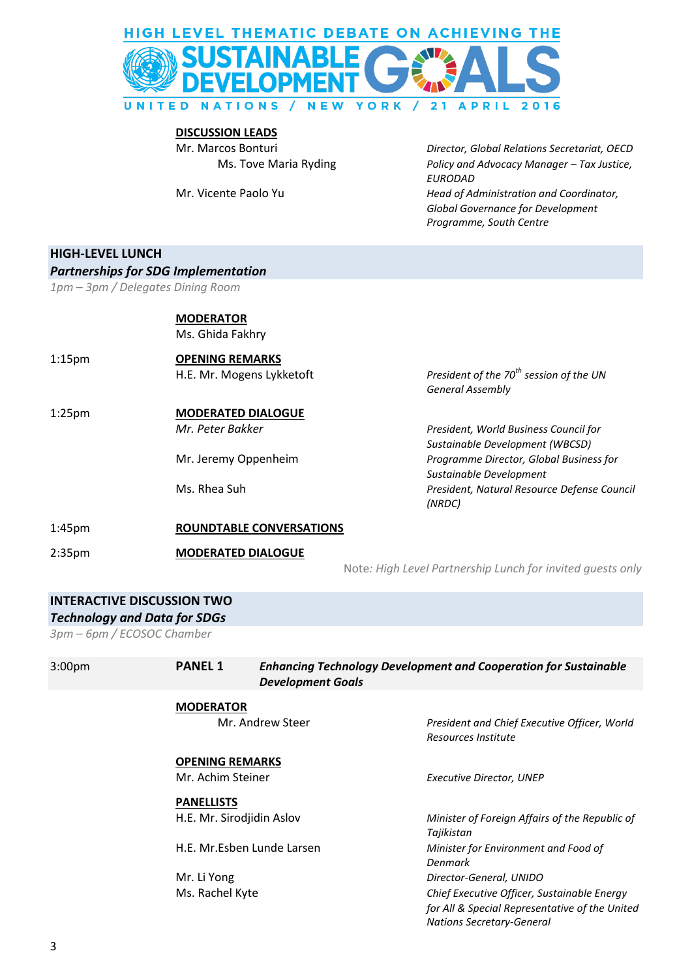

**DISCUSSION LEADS**

Mr. Marcos Bonturi *Director, Global Relations Secretariat, OECD* Ms. Tove Maria Ryding *Policy and Advocacy Manager – Tax Justice, EURODAD* Mr. Vicente Paolo Yu *Head of Administration and Coordinator, Global Governance for Development Programme, South Centre*

#### **HIGH-LEVEL LUNCH**

#### *Partnerships for SDG Implementation*

*1pm – 3pm / Delegates Dining Room*

**MODERATOR** Ms. Ghida Fakhry

1:15pm **OPENING REMARKS**

#### 1:25pm **MODERATED DIALOGUE**

H.E. Mr. Mogens Lykketoft *President of the 70th session of the UN General Assembly*

*Mr. Peter Bakker President, World Business Council for Sustainable Development (WBCSD)* Mr. Jeremy Oppenheim *Programme Director, Global Business for Sustainable Development* Ms. Rhea Suh *President, Natural Resource Defense Council (NRDC)*

1:45pm **ROUNDTABLE CONVERSATIONS**

2:35pm **MODERATED DIALOGUE**

Note*: High Level Partnership Lunch for invited guests only*

#### *Technology and Data for SDGs*

*3pm – 6pm / ECOSOC Chamber*

| 3:00pm | <b>PANEL 1</b>            | <b>Enhancing Technology Development and Cooperation for Sustainable</b><br><b>Development Goals</b> |                                                                                                                                   |
|--------|---------------------------|-----------------------------------------------------------------------------------------------------|-----------------------------------------------------------------------------------------------------------------------------------|
|        | <b>MODERATOR</b>          |                                                                                                     |                                                                                                                                   |
|        |                           | Mr. Andrew Steer                                                                                    | President and Chief Executive Officer, World<br>Resources Institute                                                               |
|        | <b>OPENING REMARKS</b>    |                                                                                                     |                                                                                                                                   |
|        | Mr. Achim Steiner         |                                                                                                     | Executive Director, UNEP                                                                                                          |
|        | <b>PANELLISTS</b>         |                                                                                                     |                                                                                                                                   |
|        | H.E. Mr. Sirodjidin Aslov |                                                                                                     | Minister of Foreign Affairs of the Republic of<br>Tajikistan                                                                      |
|        |                           | H.E. Mr.Esben Lunde Larsen                                                                          | Minister for Environment and Food of<br>Denmark                                                                                   |
|        | Mr. Li Yong               |                                                                                                     | Director-General, UNIDO                                                                                                           |
|        | Ms. Rachel Kyte           |                                                                                                     | Chief Executive Officer, Sustainable Energy<br>for All & Special Representative of the United<br><b>Nations Secretary-General</b> |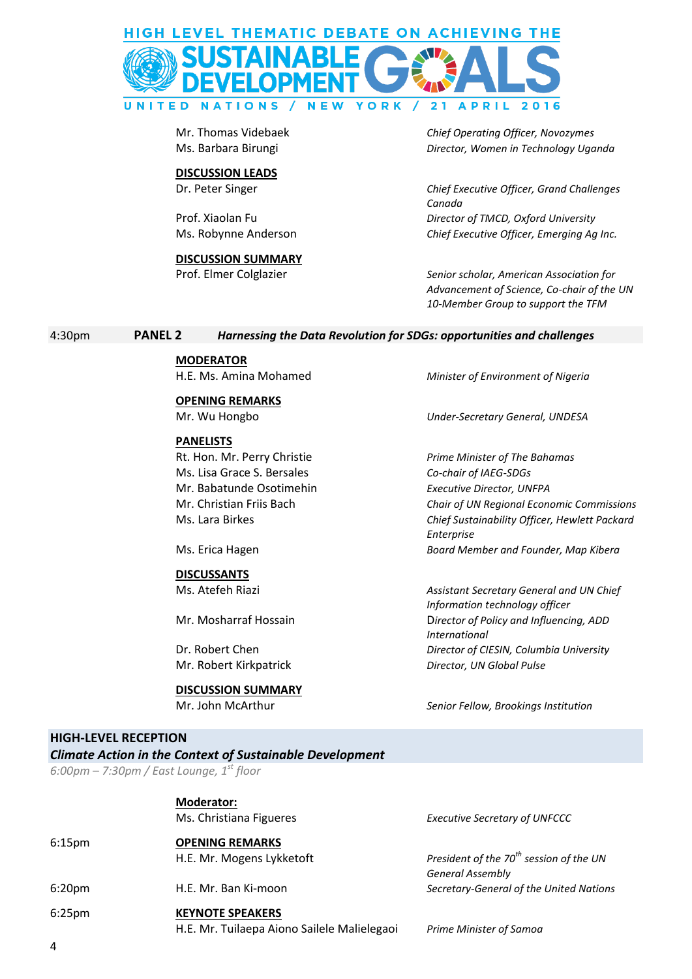

#### **DISCUSSION LEADS**

## **DISCUSSION SUMMARY**

Mr. Thomas Videbaek *Chief Operating Officer, Novozymes* Ms. Barbara Birungi *Director, Women in Technology Uganda*

Dr. Peter Singer *Chief Executive Officer, Grand Challenges Canada* Prof. Xiaolan Fu *Director of TMCD, Oxford University* Ms. Robynne Anderson *Chief Executive Officer, Emerging Ag Inc.* 

Prof. Elmer Colglazier *Senior scholar, American Association for Advancement of Science, Co-chair of the UN 10-Member Group to support the TFM*

#### 4:30pm **PANEL 2** *Harnessing the Data Revolution for SDGs: opportunities and challenges*

**MODERATOR**

**OPENING REMARKS**

#### **PANELISTS**

Rt. Hon. Mr. Perry Christie *Prime Minister of The Bahamas* Ms. Lisa Grace S. Bersales *Co-chair of IAEG-SDGs*  Mr. Babatunde Osotimehin *Executive Director, UNFPA*

#### **DISCUSSANTS**

#### **DISCUSSION SUMMARY**

H.E. Ms. Amina Mohamed *Minister of Environment of Nigeria*

Mr. Wu Hongbo *Under-Secretary General, UNDESA*

Mr. Christian Friis Bach *Chair of UN Regional Economic Commissions*  Ms. Lara Birkes *Chief Sustainability Officer, Hewlett Packard Enterprise* Ms. Erica Hagen *Board Member and Founder, Map Kibera*

Ms. Atefeh Riazi *Assistant Secretary General and UN Chief Information technology officer* Mr. Mosharraf Hossain D*irector of Policy and Influencing, ADD International* Dr. Robert Chen *Director of CIESIN, Columbia University* Mr. Robert Kirkpatrick *Director, UN Global Pulse*

Mr. John McArthur *Senior Fellow, Brookings Institution*

#### **HIGH-LEVEL RECEPTION**

*Climate Action in the Context of Sustainable Development*

*6:00pm – 7:30pm / East Lounge, 1st floor* 

|                    | <b>Moderator:</b>                           |                                                     |
|--------------------|---------------------------------------------|-----------------------------------------------------|
|                    | Ms. Christiana Figueres                     | <b>Executive Secretary of UNFCCC</b>                |
| 6:15 <sub>pm</sub> | <b>OPENING REMARKS</b>                      |                                                     |
|                    | H.E. Mr. Mogens Lykketoft                   | President of the 70 <sup>th</sup> session of the UN |
|                    |                                             | <b>General Assembly</b>                             |
| 6:20 <sub>pm</sub> | H.E. Mr. Ban Ki-moon                        | Secretary-General of the United Nations             |
| 6:25 <sub>pm</sub> | <b>KEYNOTE SPEAKERS</b>                     |                                                     |
|                    | H.E. Mr. Tuilaepa Aiono Sailele Malielegaoi | Prime Minister of Samoa                             |